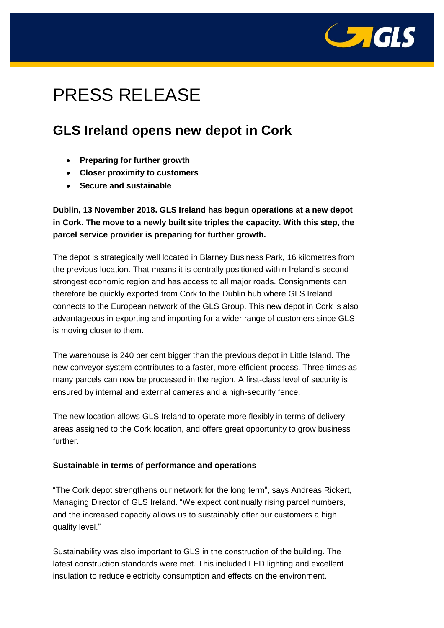

# PRESS RELEASE

# **GLS Ireland opens new depot in Cork**

- **Preparing for further growth**
- **Closer proximity to customers**
- **Secure and sustainable**

## **Dublin, 13 November 2018. GLS Ireland has begun operations at a new depot in Cork. The move to a newly built site triples the capacity. With this step, the parcel service provider is preparing for further growth.**

The depot is strategically well located in Blarney Business Park, 16 kilometres from the previous location. That means it is centrally positioned within Ireland's secondstrongest economic region and has access to all major roads. Consignments can therefore be quickly exported from Cork to the Dublin hub where GLS Ireland connects to the European network of the GLS Group. This new depot in Cork is also advantageous in exporting and importing for a wider range of customers since GLS is moving closer to them.

The warehouse is 240 per cent bigger than the previous depot in Little Island. The new conveyor system contributes to a faster, more efficient process. Three times as many parcels can now be processed in the region. A first-class level of security is ensured by internal and external cameras and a high-security fence.

The new location allows GLS Ireland to operate more flexibly in terms of delivery areas assigned to the Cork location, and offers great opportunity to grow business further.

### **Sustainable in terms of performance and operations**

"The Cork depot strengthens our network for the long term", says Andreas Rickert, Managing Director of GLS Ireland. "We expect continually rising parcel numbers, and the increased capacity allows us to sustainably offer our customers a high quality level."

Sustainability was also important to GLS in the construction of the building. The latest construction standards were met. This included LED lighting and excellent insulation to reduce electricity consumption and effects on the environment.